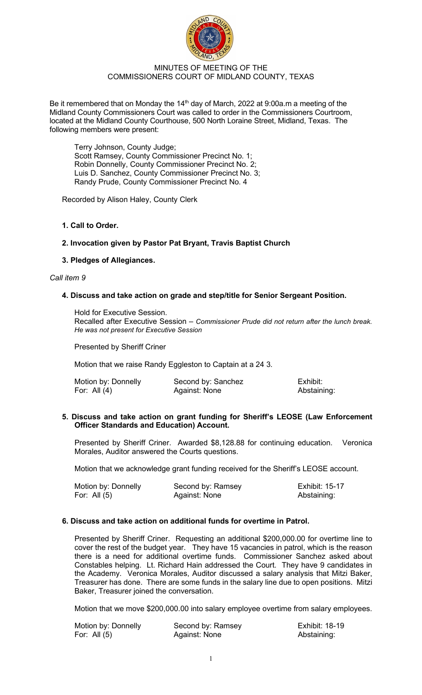

### MINUTES OF MEETING OF THE COMMISSIONERS COURT OF MIDLAND COUNTY, TEXAS

Be it remembered that on Monday the 14<sup>th</sup> day of March, 2022 at 9:00a.m a meeting of the Midland County Commissioners Court was called to order in the Commissioners Courtroom, located at the Midland County Courthouse, 500 North Loraine Street, Midland, Texas. The following members were present:

Terry Johnson, County Judge; Scott Ramsey, County Commissioner Precinct No. 1; Robin Donnelly, County Commissioner Precinct No. 2; Luis D. Sanchez, County Commissioner Precinct No. 3; Randy Prude, County Commissioner Precinct No. 4

Recorded by Alison Haley, County Clerk

# **1. Call to Order.**

### **2. Invocation given by Pastor Pat Bryant, Travis Baptist Church**

# **3. Pledges of Allegiances.**

#### *Call item 9*

### **4. Discuss and take action on grade and step/title for Senior Sergeant Position.**

Hold for Executive Session.

Recalled after Executive Session – *Commissioner Prude did not return after the lunch break. He was not present for Executive Session*

Presented by Sheriff Criner

Motion that we raise Randy Eggleston to Captain at a 24 3.

| Motion by: Donnelly | Second by: Sanchez | Exhibit:    |
|---------------------|--------------------|-------------|
| For: All $(4)$      | Against: None      | Abstaining: |

### **5. Discuss and take action on grant funding for Sheriff's LEOSE (Law Enforcement Officer Standards and Education) Account.**

Presented by Sheriff Criner. Awarded \$8,128.88 for continuing education. Veronica Morales, Auditor answered the Courts questions.

Motion that we acknowledge grant funding received for the Sheriff's LEOSE account.

| Motion by: Donnelly | Second by: Ramsey | <b>Exhibit: 15-17</b> |
|---------------------|-------------------|-----------------------|
| For: All $(5)$      | Against: None     | Abstaining:           |

# **6. Discuss and take action on additional funds for overtime in Patrol.**

Presented by Sheriff Criner. Requesting an additional \$200,000.00 for overtime line to cover the rest of the budget year. They have 15 vacancies in patrol, which is the reason there is a need for additional overtime funds. Commissioner Sanchez asked about Constables helping. Lt. Richard Hain addressed the Court. They have 9 candidates in the Academy. Veronica Morales, Auditor discussed a salary analysis that Mitzi Baker, Treasurer has done. There are some funds in the salary line due to open positions. Mitzi Baker, Treasurer joined the conversation.

Motion that we move \$200,000.00 into salary employee overtime from salary employees.

| Motion by: Donnelly | Second by: Ramsey | <b>Exhibit: 18-19</b> |
|---------------------|-------------------|-----------------------|
| For: All $(5)$      | Against: None     | Abstaining:           |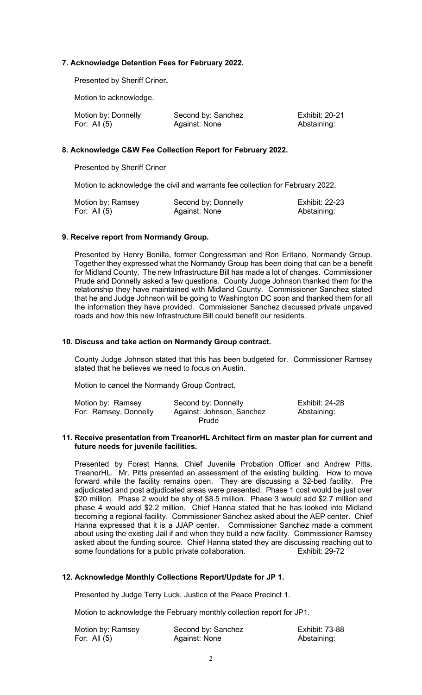# **7. Acknowledge Detention Fees for February 2022.**

Presented by Sheriff Criner**.** 

Motion to acknowledge.

| Motion by: Donnelly | Second by: Sanchez | <b>Exhibit: 20-21</b> |
|---------------------|--------------------|-----------------------|
| For: All $(5)$      | Against: None      | Abstaining:           |

# **8. Acknowledge C&W Fee Collection Report for February 2022.**

Presented by Sheriff Criner

Motion to acknowledge the civil and warrants fee collection for February 2022.

| Motion by: Ramsey | Second by: Donnelly | <b>Exhibit: 22-23</b> |
|-------------------|---------------------|-----------------------|
| For: All $(5)$    | Against: None       | Abstaining:           |

### **9. Receive report from Normandy Group.**

Presented by Henry Bonilla, former Congressman and Ron Eritano, Normandy Group. Together they expressed what the Normandy Group has been doing that can be a benefit for Midland County. The new Infrastructure Bill has made a lot of changes. Commissioner Prude and Donnelly asked a few questions. County Judge Johnson thanked them for the relationship they have maintained with Midland County. Commissioner Sanchez stated that he and Judge Johnson will be going to Washington DC soon and thanked them for all the information they have provided. Commissioner Sanchez discussed private unpaved roads and how this new Infrastructure Bill could benefit our residents.

### **10. Discuss and take action on Normandy Group contract.**

County Judge Johnson stated that this has been budgeted for. Commissioner Ramsey stated that he believes we need to focus on Austin.

Motion to cancel the Normandy Group Contract.

| Motion by: Ramsey     | Second by: Donnelly       | <b>Exhibit: 24-28</b> |
|-----------------------|---------------------------|-----------------------|
| For: Ramsey, Donnelly | Against: Johnson, Sanchez | Abstaining:           |
|                       | Prude                     |                       |

#### **11. Receive presentation from TreanorHL Architect firm on master plan for current and future needs for juvenile facilities.**

Presented by Forest Hanna, Chief Juvenile Probation Officer and Andrew Pitts, TreanorHL. Mr. Pitts presented an assessment of the existing building. How to move forward while the facility remains open. They are discussing a 32-bed facility. Pre adjudicated and post adjudicated areas were presented. Phase 1 cost would be just over \$20 million. Phase 2 would be shy of \$8.5 million. Phase 3 would add \$2.7 million and phase 4 would add \$2.2 million. Chief Hanna stated that he has looked into Midland becoming a regional facility. Commissioner Sanchez asked about the AEP center. Chief Hanna expressed that it is a JJAP center. Commissioner Sanchez made a comment about using the existing Jail if and when they build a new facility. Commissioner Ramsey asked about the funding source. Chief Hanna stated they are discussing reaching out to some foundations for a public private collaboration. Exhibit: 29-72

# **12. Acknowledge Monthly Collections Report/Update for JP 1.**

Presented by Judge Terry Luck, Justice of the Peace Precinct 1.

Motion to acknowledge the February monthly collection report for JP1.

| Motion by: Ramsey | Second by: Sanchez | <b>Exhibit: 73-88</b> |
|-------------------|--------------------|-----------------------|
| For: All $(5)$    | Against: None      | Abstaining:           |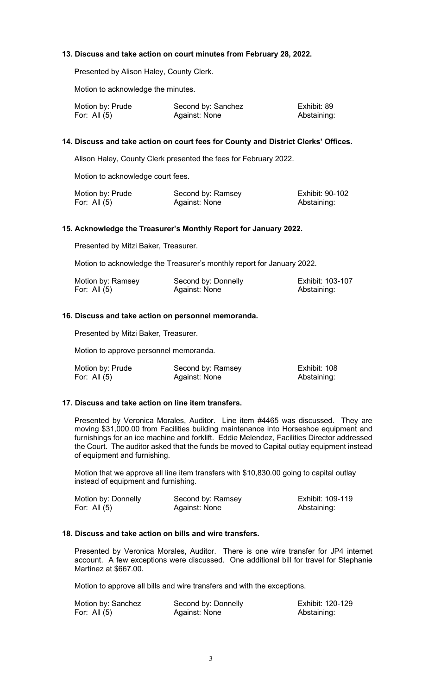# **13. Discuss and take action on court minutes from February 28, 2022.**

Presented by Alison Haley, County Clerk.

Motion to acknowledge the minutes.

| Motion by: Prude | Second by: Sanchez | Exhibit: 89 |
|------------------|--------------------|-------------|
| For: All $(5)$   | Against: None      | Abstaining: |

# **14. Discuss and take action on court fees for County and District Clerks' Offices.**

Alison Haley, County Clerk presented the fees for February 2022.

Motion to acknowledge court fees.

| Motion by: Prude | Second by: Ramsey | Exhibit: 90-102 |
|------------------|-------------------|-----------------|
| For: All $(5)$   | Against: None     | Abstaining:     |

### **15. Acknowledge the Treasurer's Monthly Report for January 2022.**

Presented by Mitzi Baker, Treasurer.

Motion to acknowledge the Treasurer's monthly report for January 2022.

| Motion by: Ramsey | Second by: Donnelly | Exhibit: 103-107 |
|-------------------|---------------------|------------------|
| For: All $(5)$    | Against: None       | Abstaining:      |

### **16. Discuss and take action on personnel memoranda.**

Presented by Mitzi Baker, Treasurer.

Motion to approve personnel memoranda.

| Motion by: Prude | Second by: Ramsey | Exhibit: 108 |
|------------------|-------------------|--------------|
| For: All $(5)$   | Against: None     | Abstaining:  |

#### **17. Discuss and take action on line item transfers.**

Presented by Veronica Morales, Auditor. Line item #4465 was discussed. They are moving \$31,000.00 from Facilities building maintenance into Horseshoe equipment and furnishings for an ice machine and forklift. Eddie Melendez, Facilities Director addressed the Court. The auditor asked that the funds be moved to Capital outlay equipment instead of equipment and furnishing.

Motion that we approve all line item transfers with \$10,830.00 going to capital outlay instead of equipment and furnishing.

| Motion by: Donnelly | Second by: Ramsey | Exhibit: 109-119 |
|---------------------|-------------------|------------------|
| For: All $(5)$      | Against: None     | Abstaining:      |

# **18. Discuss and take action on bills and wire transfers.**

Presented by Veronica Morales, Auditor. There is one wire transfer for JP4 internet account. A few exceptions were discussed. One additional bill for travel for Stephanie Martinez at \$667.00.

Motion to approve all bills and wire transfers and with the exceptions.

| Motion by: Sanchez | Second by: Donnelly | Exhibit: 120-129 |
|--------------------|---------------------|------------------|
| For: All $(5)$     | Against: None       | Abstaining:      |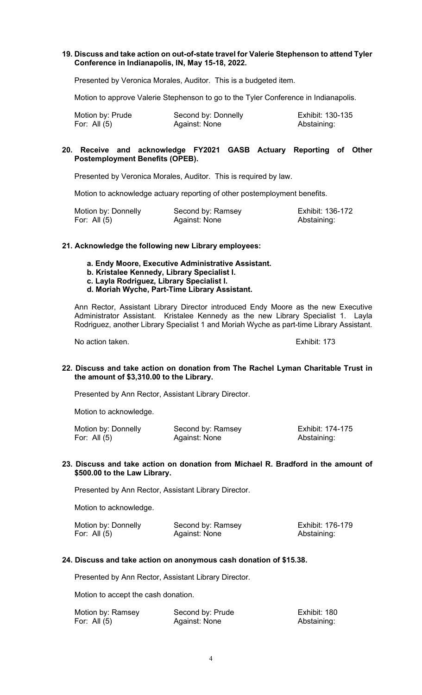### **19. Discuss and take action on out-of-state travel for Valerie Stephenson to attend Tyler Conference in Indianapolis, IN, May 15-18, 2022.**

Presented by Veronica Morales, Auditor. This is a budgeted item.

Motion to approve Valerie Stephenson to go to the Tyler Conference in Indianapolis.

| Motion by: Prude | Second by: Donnelly | Exhibit: 130-135 |
|------------------|---------------------|------------------|
| For: All $(5)$   | Against: None       | Abstaining:      |

### **20. Receive and acknowledge FY2021 GASB Actuary Reporting of Other Postemployment Benefits (OPEB).**

Presented by Veronica Morales, Auditor. This is required by law.

Motion to acknowledge actuary reporting of other postemployment benefits.

| Motion by: Donnelly | Second by: Ramsey | Exhibit: 136-172 |
|---------------------|-------------------|------------------|
| For: All $(5)$      | Against: None     | Abstaining:      |

#### **21. Acknowledge the following new Library employees:**

- **a. Endy Moore, Executive Administrative Assistant.**
- **b. Kristalee Kennedy, Library Specialist I.**
- **c. Layla Rodriguez, Library Specialist I.**
- **d. Moriah Wyche, Part-Time Library Assistant.**

Ann Rector, Assistant Library Director introduced Endy Moore as the new Executive Administrator Assistant. Kristalee Kennedy as the new Library Specialist 1. Layla Rodriguez, another Library Specialist 1 and Moriah Wyche as part-time Library Assistant.

No action taken. Exhibit: 173

### **22. Discuss and take action on donation from The Rachel Lyman Charitable Trust in the amount of \$3,310.00 to the Library.**

Presented by Ann Rector, Assistant Library Director.

Motion to acknowledge.

| Motion by: Donnelly | Second by: Ramsey | Exhibit: 174-175 |
|---------------------|-------------------|------------------|
| For: All (5)        | Against: None     | Abstaining:      |

#### **23. Discuss and take action on donation from Michael R. Bradford in the amount of \$500.00 to the Law Library.**

Presented by Ann Rector, Assistant Library Director.

Motion to acknowledge.

| Motion by: Donnelly | Second by: Ramsey | Exhibit: 176-179 |
|---------------------|-------------------|------------------|
| For: All (5)        | Against: None     | Abstaining:      |

#### **24. Discuss and take action on anonymous cash donation of \$15.38.**

Presented by Ann Rector, Assistant Library Director.

Motion to accept the cash donation.

| Motion by: Ramsey | Second by: Prude | Exhibit: 180 |
|-------------------|------------------|--------------|
| For: All $(5)$    | Against: None    | Abstaining:  |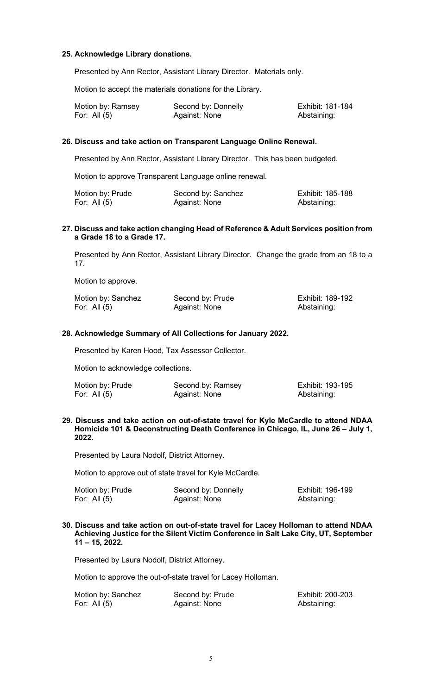### **25. Acknowledge Library donations.**

Presented by Ann Rector, Assistant Library Director. Materials only.

Motion to accept the materials donations for the Library.

| Motion by: Ramsey | Second by: Donnelly | Exhibit: 181-184 |
|-------------------|---------------------|------------------|
| For: All (5)      | Against: None       | Abstaining:      |

### **26. Discuss and take action on Transparent Language Online Renewal.**

Presented by Ann Rector, Assistant Library Director. This has been budgeted.

Motion to approve Transparent Language online renewal.

| Motion by: Prude | Second by: Sanchez | Exhibit: 185-188 |
|------------------|--------------------|------------------|
| For: All (5)     | Against: None      | Abstaining:      |

### **27. Discuss and take action changing Head of Reference & Adult Services position from a Grade 18 to a Grade 17.**

Presented by Ann Rector, Assistant Library Director. Change the grade from an 18 to a 17.

Motion to approve.

| Motion by: Sanchez | Second by: Prude | Exhibit: 189-192 |
|--------------------|------------------|------------------|
| For: All (5)       | Against: None    | Abstaining:      |

#### **28. Acknowledge Summary of All Collections for January 2022.**

Presented by Karen Hood, Tax Assessor Collector.

Motion to acknowledge collections.

| Motion by: Prude | Second by: Ramsey | Exhibit: 193-195 |
|------------------|-------------------|------------------|
| For: All $(5)$   | Against: None     | Abstaining:      |

#### **29. Discuss and take action on out-of-state travel for Kyle McCardle to attend NDAA Homicide 101 & Deconstructing Death Conference in Chicago, IL, June 26 – July 1, 2022.**

Presented by Laura Nodolf, District Attorney.

Motion to approve out of state travel for Kyle McCardle.

| Motion by: Prude | Second by: Donnelly | Exhibit: 196-199 |
|------------------|---------------------|------------------|
| For: All $(5)$   | Against: None       | Abstaining:      |

#### **30. Discuss and take action on out-of-state travel for Lacey Holloman to attend NDAA Achieving Justice for the Silent Victim Conference in Salt Lake City, UT, September 11 – 15, 2022.**

Presented by Laura Nodolf, District Attorney.

Motion to approve the out-of-state travel for Lacey Holloman.

| Motion by: Sanchez | Second by: Prude | Exhibit: 200-203 |
|--------------------|------------------|------------------|
| For: All $(5)$     | Against: None    | Abstaining:      |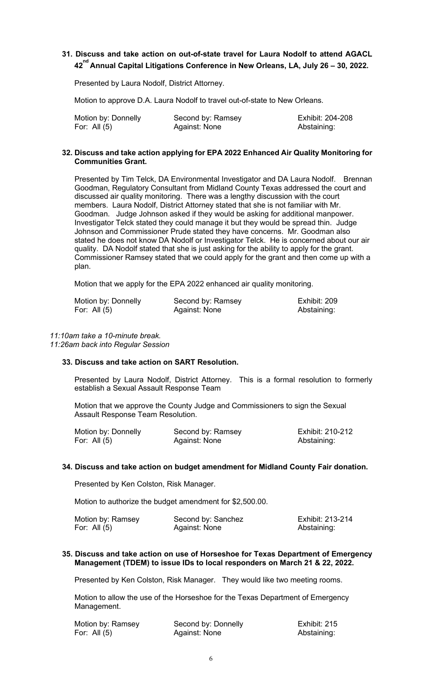# **31. Discuss and take action on out-of-state travel for Laura Nodolf to attend AGACL 42 nd Annual Capital Litigations Conference in New Orleans, LA, July 26 – 30, 2022.**

Presented by Laura Nodolf, District Attorney.

Motion to approve D.A. Laura Nodolf to travel out-of-state to New Orleans.

| Motion by: Donnelly | Second by: Ramsey | Exhibit: 204-208 |
|---------------------|-------------------|------------------|
| For: All $(5)$      | Against: None     | Abstaining:      |

### **32. Discuss and take action applying for EPA 2022 Enhanced Air Quality Monitoring for Communities Grant.**

Presented by Tim Telck, DA Environmental Investigator and DA Laura Nodolf. Brennan Goodman, Regulatory Consultant from Midland County Texas addressed the court and discussed air quality monitoring. There was a lengthy discussion with the court members. Laura Nodolf, District Attorney stated that she is not familiar with Mr. Goodman. Judge Johnson asked if they would be asking for additional manpower. Investigator Telck stated they could manage it but they would be spread thin. Judge Johnson and Commissioner Prude stated they have concerns. Mr. Goodman also stated he does not know DA Nodolf or Investigator Telck. He is concerned about our air quality. DA Nodolf stated that she is just asking for the ability to apply for the grant. Commissioner Ramsey stated that we could apply for the grant and then come up with a plan.

Motion that we apply for the EPA 2022 enhanced air quality monitoring.

| Motion by: Donnelly | Second by: Ramsey | Exhibit: 209 |
|---------------------|-------------------|--------------|
| For: All $(5)$      | Against: None     | Abstaining:  |

### *11:10am take a 10-minute break.*

*11:26am back into Regular Session*

### **33. Discuss and take action on SART Resolution.**

Presented by Laura Nodolf, District Attorney. This is a formal resolution to formerly establish a Sexual Assault Response Team

Motion that we approve the County Judge and Commissioners to sign the Sexual Assault Response Team Resolution.

| Motion by: Donnelly | Second by: Ramsey | Exhibit: 210-212 |
|---------------------|-------------------|------------------|
| For: All $(5)$      | Against: None     | Abstaining:      |

# **34. Discuss and take action on budget amendment for Midland County Fair donation.**

Presented by Ken Colston, Risk Manager.

Motion to authorize the budget amendment for \$2,500.00.

| Motion by: Ramsey | Second by: Sanchez | Exhibit: 213-214 |
|-------------------|--------------------|------------------|
| For: All $(5)$    | Against: None      | Abstaining:      |

### **35. Discuss and take action on use of Horseshoe for Texas Department of Emergency Management (TDEM) to issue IDs to local responders on March 21 & 22, 2022.**

Presented by Ken Colston, Risk Manager. They would like two meeting rooms.

Motion to allow the use of the Horseshoe for the Texas Department of Emergency Management.

| Motion by: Ramsey | Second by: Donnelly | Exhibit: 215 |
|-------------------|---------------------|--------------|
| For: All $(5)$    | Against: None       | Abstaining:  |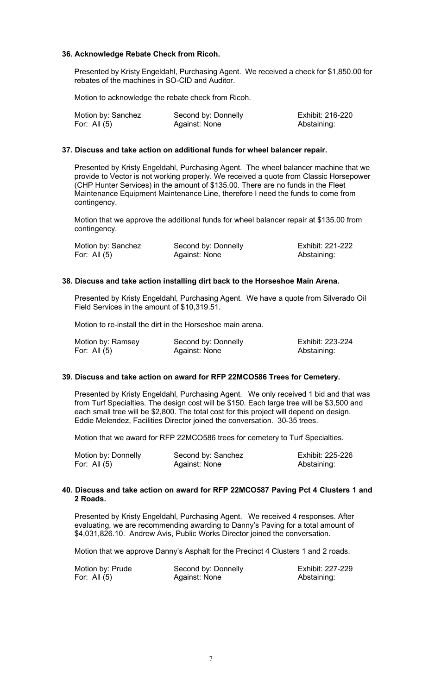### **36. Acknowledge Rebate Check from Ricoh.**

Presented by Kristy Engeldahl, Purchasing Agent. We received a check for \$1,850.00 for rebates of the machines in SO-CID and Auditor.

Motion to acknowledge the rebate check from Ricoh.

| Motion by: Sanchez | Second by: Donnelly | Exhibit: 216-220 |
|--------------------|---------------------|------------------|
| For: All $(5)$     | Against: None       | Abstaining:      |

# **37. Discuss and take action on additional funds for wheel balancer repair.**

Presented by Kristy Engeldahl, Purchasing Agent. The wheel balancer machine that we provide to Vector is not working properly. We received a quote from Classic Horsepower (CHP Hunter Services) in the amount of \$135.00. There are no funds in the Fleet Maintenance Equipment Maintenance Line, therefore I need the funds to come from contingency.

Motion that we approve the additional funds for wheel balancer repair at \$135.00 from contingency.

| Motion by: Sanchez | Second by: Donnelly | Exhibit: 221-222 |
|--------------------|---------------------|------------------|
| For: All $(5)$     | Against: None       | Abstaining:      |

### **38. Discuss and take action installing dirt back to the Horseshoe Main Arena.**

Presented by Kristy Engeldahl, Purchasing Agent. We have a quote from Silverado Oil Field Services in the amount of \$10,319.51.

Motion to re-install the dirt in the Horseshoe main arena.

| Motion by: Ramsey | Second by: Donnelly | Exhibit: 223-224 |
|-------------------|---------------------|------------------|
| For: All (5)      | Against: None       | Abstaining:      |

# **39. Discuss and take action on award for RFP 22MCO586 Trees for Cemetery.**

Presented by Kristy Engeldahl, Purchasing Agent. We only received 1 bid and that was from Turf Specialties. The design cost will be \$150. Each large tree will be \$3,500 and each small tree will be \$2,800. The total cost for this project will depend on design. Eddie Melendez, Facilities Director joined the conversation. 30-35 trees.

Motion that we award for RFP 22MCO586 trees for cemetery to Turf Specialties.

| Motion by: Donnelly | Second by: Sanchez | Exhibit: 225-226 |
|---------------------|--------------------|------------------|
| For: All $(5)$      | Against: None      | Abstaining:      |

### **40. Discuss and take action on award for RFP 22MCO587 Paving Pct 4 Clusters 1 and 2 Roads.**

Presented by Kristy Engeldahl, Purchasing Agent. We received 4 responses. After evaluating, we are recommending awarding to Danny's Paving for a total amount of \$4,031,826.10. Andrew Avis, Public Works Director joined the conversation.

Motion that we approve Danny's Asphalt for the Precinct 4 Clusters 1 and 2 roads.

Motion by: Prude Second by: Donnelly<br>
For: All (5) Fore Against: None Abstaining: Against: None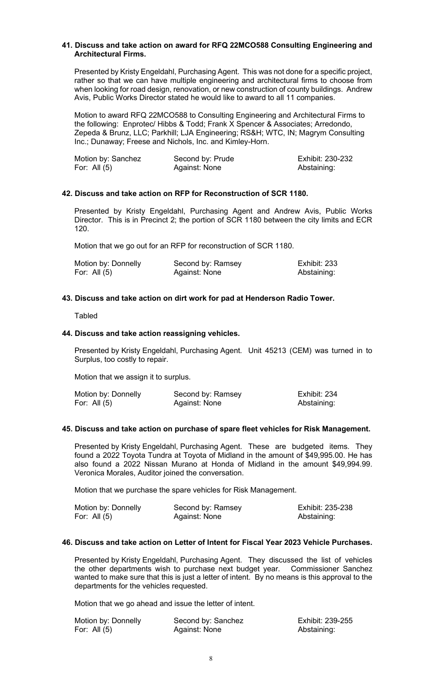#### **41. Discuss and take action on award for RFQ 22MCO588 Consulting Engineering and Architectural Firms.**

Presented by Kristy Engeldahl, Purchasing Agent. This was not done for a specific project, rather so that we can have multiple engineering and architectural firms to choose from when looking for road design, renovation, or new construction of county buildings. Andrew Avis, Public Works Director stated he would like to award to all 11 companies.

Motion to award RFQ 22MCO588 to Consulting Engineering and Architectural Firms to the following: Enprotec/ Hibbs & Todd; Frank X Spencer & Associates; Arredondo, Zepeda & Brunz, LLC; Parkhill; LJA Engineering; RS&H; WTC, IN; Magrym Consulting Inc.; Dunaway; Freese and Nichols, Inc. and Kimley-Horn.

| Motion by: Sanchez | Second by: Prude | Exhibit: 230-232 |
|--------------------|------------------|------------------|
| For: All $(5)$     | Against: None    | Abstaining:      |

#### **42. Discuss and take action on RFP for Reconstruction of SCR 1180.**

Presented by Kristy Engeldahl, Purchasing Agent and Andrew Avis, Public Works Director. This is in Precinct 2; the portion of SCR 1180 between the city limits and ECR 120.

Motion that we go out for an RFP for reconstruction of SCR 1180.

| Motion by: Donnelly | Second by: Ramsey | <b>Exhibit: 233</b> |
|---------------------|-------------------|---------------------|
| For: All $(5)$      | Against: None     | Abstaining:         |

#### **43. Discuss and take action on dirt work for pad at Henderson Radio Tower.**

#### **Tabled**

#### **44. Discuss and take action reassigning vehicles.**

Presented by Kristy Engeldahl, Purchasing Agent. Unit 45213 (CEM) was turned in to Surplus, too costly to repair.

Motion that we assign it to surplus.

| Motion by: Donnelly | Second by: Ramsey | Exhibit: 234 |
|---------------------|-------------------|--------------|
| For: All $(5)$      | Against: None     | Abstaining:  |

#### **45. Discuss and take action on purchase of spare fleet vehicles for Risk Management.**

Presented by Kristy Engeldahl, Purchasing Agent. These are budgeted items. They found a 2022 Toyota Tundra at Toyota of Midland in the amount of \$49,995.00. He has also found a 2022 Nissan Murano at Honda of Midland in the amount \$49,994.99. Veronica Morales, Auditor joined the conversation.

Motion that we purchase the spare vehicles for Risk Management.

| Motion by: Donnelly | Second by: Ramsey | Exhibit: 235-238 |
|---------------------|-------------------|------------------|
| For: All $(5)$      | Against: None     | Abstaining:      |

#### **46. Discuss and take action on Letter of Intent for Fiscal Year 2023 Vehicle Purchases.**

Presented by Kristy Engeldahl, Purchasing Agent. They discussed the list of vehicles the other departments wish to purchase next budget year. Commissioner Sanchez wanted to make sure that this is just a letter of intent. By no means is this approval to the departments for the vehicles requested.

Motion that we go ahead and issue the letter of intent.

| Motion by: Donnelly | Second by: Sanchez | Exhibit: 239-255 |
|---------------------|--------------------|------------------|
| For: All $(5)$      | Against: None      | Abstaining:      |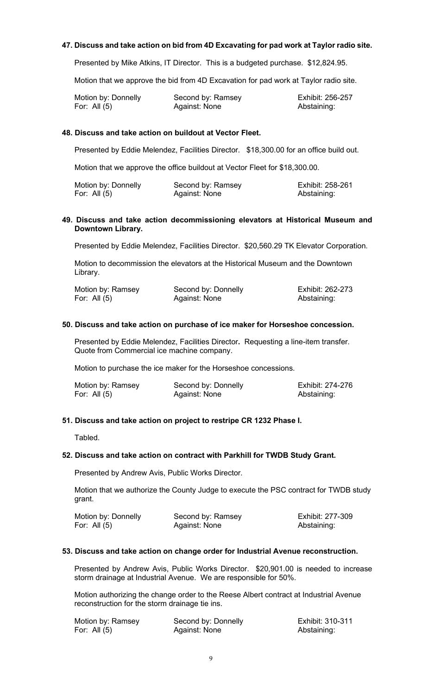### **47. Discuss and take action on bid from 4D Excavating for pad work at Taylor radio site.**

Presented by Mike Atkins, IT Director. This is a budgeted purchase. \$12,824.95.

Motion that we approve the bid from 4D Excavation for pad work at Taylor radio site.

| Motion by: Donnelly | Second by: Ramsey | Exhibit: 256-257 |
|---------------------|-------------------|------------------|
| For: All $(5)$      | Against: None     | Abstaining:      |

# **48. Discuss and take action on buildout at Vector Fleet.**

Presented by Eddie Melendez, Facilities Director. \$18,300.00 for an office build out.

Motion that we approve the office buildout at Vector Fleet for \$18,300.00.

| Motion by: Donnelly | Second by: Ramsey | Exhibit: 258-261 |
|---------------------|-------------------|------------------|
| For: All $(5)$      | Against: None     | Abstaining:      |

### **49. Discuss and take action decommissioning elevators at Historical Museum and Downtown Library.**

Presented by Eddie Melendez, Facilities Director. \$20,560.29 TK Elevator Corporation.

Motion to decommission the elevators at the Historical Museum and the Downtown Library.

| Motion by: Ramsey | Second by: Donnelly | Exhibit: 262-273 |
|-------------------|---------------------|------------------|
| For: All $(5)$    | Against: None       | Abstaining:      |

### **50. Discuss and take action on purchase of ice maker for Horseshoe concession.**

Presented by Eddie Melendez, Facilities Director**.** Requesting a line-item transfer. Quote from Commercial ice machine company.

Motion to purchase the ice maker for the Horseshoe concessions.

| Motion by: Ramsey | Second by: Donnelly | Exhibit: 274-276 |
|-------------------|---------------------|------------------|
| For: All $(5)$    | Against: None       | Abstaining:      |

#### **51. Discuss and take action on project to restripe CR 1232 Phase I.**

Tabled.

#### **52. Discuss and take action on contract with Parkhill for TWDB Study Grant.**

Presented by Andrew Avis, Public Works Director.

Motion that we authorize the County Judge to execute the PSC contract for TWDB study grant.

| Motion by: Donnelly | Second by: Ramsey | Exhibit: 277-309 |
|---------------------|-------------------|------------------|
| For: All $(5)$      | Against: None     | Abstaining:      |

#### **53. Discuss and take action on change order for Industrial Avenue reconstruction.**

Presented by Andrew Avis, Public Works Director. \$20,901.00 is needed to increase storm drainage at Industrial Avenue. We are responsible for 50%.

Motion authorizing the change order to the Reese Albert contract at Industrial Avenue reconstruction for the storm drainage tie ins.

| Motion by: Ramsey | Second by: Donnelly | Exhibit: 310-311 |
|-------------------|---------------------|------------------|
| For: All $(5)$    | Against: None       | Abstaining:      |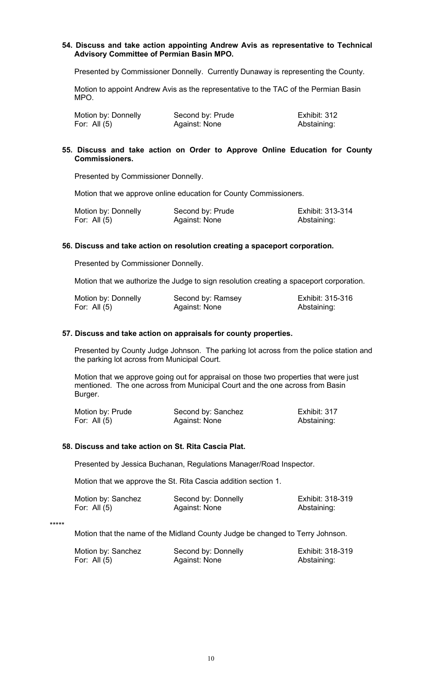### **54. Discuss and take action appointing Andrew Avis as representative to Technical Advisory Committee of Permian Basin MPO.**

Presented by Commissioner Donnelly. Currently Dunaway is representing the County.

Motion to appoint Andrew Avis as the representative to the TAC of the Permian Basin MPO.

| Motion by: Donnelly | Second by: Prude | Exhibit: 312 |
|---------------------|------------------|--------------|
| For: All $(5)$      | Against: None    | Abstaining:  |

# **55. Discuss and take action on Order to Approve Online Education for County Commissioners.**

Presented by Commissioner Donnelly.

Motion that we approve online education for County Commissioners.

| Motion by: Donnelly | Second by: Prude | Exhibit: 313-314 |
|---------------------|------------------|------------------|
| For: All $(5)$      | Against: None    | Abstaining:      |

# **56. Discuss and take action on resolution creating a spaceport corporation.**

Presented by Commissioner Donnelly.

Motion that we authorize the Judge to sign resolution creating a spaceport corporation.

| Motion by: Donnelly | Second by: Ramsey | Exhibit: 315-316 |
|---------------------|-------------------|------------------|
| For: All $(5)$      | Against: None     | Abstaining:      |

#### **57. Discuss and take action on appraisals for county properties.**

Presented by County Judge Johnson. The parking lot across from the police station and the parking lot across from Municipal Court.

Motion that we approve going out for appraisal on those two properties that were just mentioned. The one across from Municipal Court and the one across from Basin Burger.

| Motion by: Prude | Second by: Sanchez | Exhibit: 317 |
|------------------|--------------------|--------------|
| For: All $(5)$   | Against: None      | Abstaining:  |

### **58. Discuss and take action on St. Rita Cascia Plat.**

Presented by Jessica Buchanan, Regulations Manager/Road Inspector.

Motion that we approve the St. Rita Cascia addition section 1.

| Motion by: Sanchez | Second by: Donnelly | Exhibit: 318-319 |
|--------------------|---------------------|------------------|
| For: All $(5)$     | Against: None       | Abstaining:      |

\*\*\*\*\*

Motion that the name of the Midland County Judge be changed to Terry Johnson.

| Motion by: Sanchez | Second by: Donnelly | Exhibit: 318-319 |
|--------------------|---------------------|------------------|
| For: All (5)       | Against: None       | Abstaining:      |